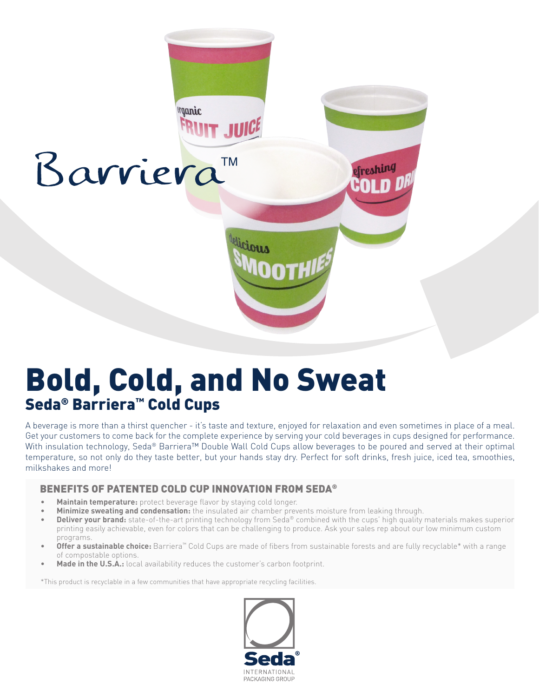

## Bold, Cold, and No Sweat Seda® Barriera™ Cold Cups

A beverage is more than a thirst quencher - it's taste and texture, enjoyed for relaxation and even sometimes in place of a meal. Get your customers to come back for the complete experience by serving your cold beverages in cups designed for performance. With insulation technology, Seda® Barriera™ Double Wall Cold Cups allow beverages to be poured and served at their optimal temperature, so not only do they taste better, but your hands stay dry. Perfect for soft drinks, fresh juice, iced tea, smoothies, milkshakes and more!

## BENEFITS OF PATENTED COLD CUP INNOVATION FROM SEDA®

- **• Maintain temperature:** protect beverage flavor by staying cold longer.
- **• Minimize sweating and condensation:** the insulated air chamber prevents moisture from leaking through.
- **Deliver your brand:** state-of-the-art printing technology from Seda® combined with the cups' high quality materials makes superior printing easily achievable, even for colors that can be challenging to produce. Ask your sales rep about our low minimum custom programs.
- **• Offer a sustainable choice:** Barriera™ Cold Cups are made of fibers from sustainable forests and are fully recyclable\* with a range of compostable options.
- **Made in the U.S.A.:** local availability reduces the customer's carbon footprint.

\*This product is recyclable in a few communities that have appropriate recycling facilities.